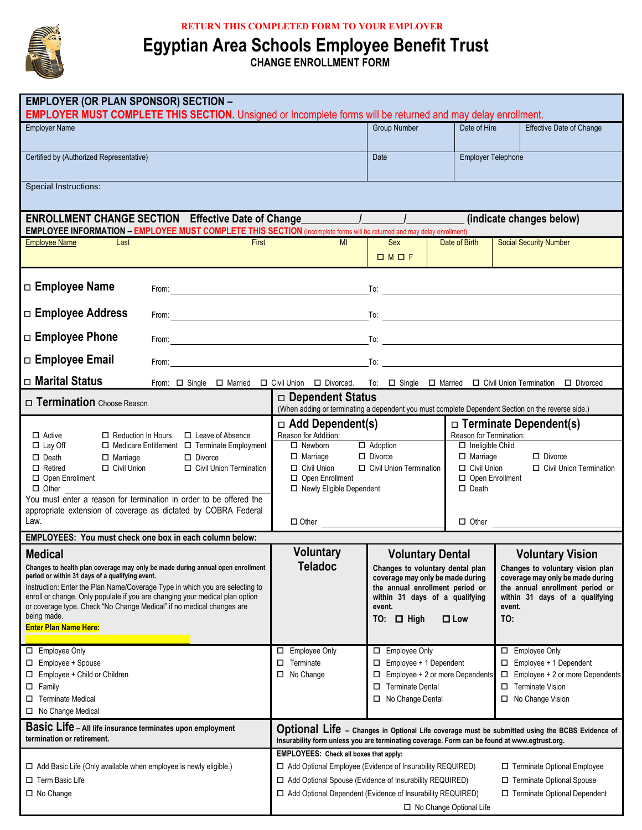

## **RETURN THIS COMPLETED FORM TO YOUR EMPLOYER**

**Egyptian Area Schools Employee Benefit Trust**

**CHANGE ENROLLMENT FORM**

| <b>EMPLOYER (OR PLAN SPONSOR) SECTION -</b><br><b>EMPLOYER MUST COMPLETE THIS SECTION.</b> Unsigned or Incomplete forms will be returned and may delay enrollment.                                                                                                                                                                                                                                                                                                                                                                                                                                                                                                                                                                                                                                                                                                                                                                                                 |                                                                                                                                                                                                                                                 |                                                                                                                                                                                                                                                                                                                     |                                                                                                                                                   |                                                                                                                                                                                                                                                                     |  |
|--------------------------------------------------------------------------------------------------------------------------------------------------------------------------------------------------------------------------------------------------------------------------------------------------------------------------------------------------------------------------------------------------------------------------------------------------------------------------------------------------------------------------------------------------------------------------------------------------------------------------------------------------------------------------------------------------------------------------------------------------------------------------------------------------------------------------------------------------------------------------------------------------------------------------------------------------------------------|-------------------------------------------------------------------------------------------------------------------------------------------------------------------------------------------------------------------------------------------------|---------------------------------------------------------------------------------------------------------------------------------------------------------------------------------------------------------------------------------------------------------------------------------------------------------------------|---------------------------------------------------------------------------------------------------------------------------------------------------|---------------------------------------------------------------------------------------------------------------------------------------------------------------------------------------------------------------------------------------------------------------------|--|
| <b>Employer Name</b>                                                                                                                                                                                                                                                                                                                                                                                                                                                                                                                                                                                                                                                                                                                                                                                                                                                                                                                                               |                                                                                                                                                                                                                                                 | <b>Group Number</b>                                                                                                                                                                                                                                                                                                 | Date of Hire                                                                                                                                      | <b>Effective Date of Change</b>                                                                                                                                                                                                                                     |  |
| Certified by (Authorized Representative)                                                                                                                                                                                                                                                                                                                                                                                                                                                                                                                                                                                                                                                                                                                                                                                                                                                                                                                           |                                                                                                                                                                                                                                                 | Date                                                                                                                                                                                                                                                                                                                | <b>Employer Telephone</b>                                                                                                                         |                                                                                                                                                                                                                                                                     |  |
| Special Instructions:                                                                                                                                                                                                                                                                                                                                                                                                                                                                                                                                                                                                                                                                                                                                                                                                                                                                                                                                              |                                                                                                                                                                                                                                                 |                                                                                                                                                                                                                                                                                                                     |                                                                                                                                                   |                                                                                                                                                                                                                                                                     |  |
| <b>ENROLLMENT CHANGE SECTION Effective Date of Change_</b>                                                                                                                                                                                                                                                                                                                                                                                                                                                                                                                                                                                                                                                                                                                                                                                                                                                                                                         |                                                                                                                                                                                                                                                 | $\frac{1}{2}$ $\frac{1}{2}$ $\frac{1}{2}$ $\frac{1}{2}$ $\frac{1}{2}$ $\frac{1}{2}$ $\frac{1}{2}$ $\frac{1}{2}$ $\frac{1}{2}$ $\frac{1}{2}$ $\frac{1}{2}$ $\frac{1}{2}$ $\frac{1}{2}$ $\frac{1}{2}$ $\frac{1}{2}$ $\frac{1}{2}$ $\frac{1}{2}$ $\frac{1}{2}$ $\frac{1}{2}$ $\frac{1}{2}$ $\frac{1}{2}$ $\frac{1}{2}$ |                                                                                                                                                   | (indicate changes below)                                                                                                                                                                                                                                            |  |
| EMPLOYEE INFORMATION - EMPLOYEE MUST COMPLETE THIS SECTION (Incomplete forms will be returned and may delay enrollment)<br>First<br><b>Employee Name</b><br>Last                                                                                                                                                                                                                                                                                                                                                                                                                                                                                                                                                                                                                                                                                                                                                                                                   | MI                                                                                                                                                                                                                                              | Sex                                                                                                                                                                                                                                                                                                                 | Date of Birth                                                                                                                                     | <b>Social Security Number</b>                                                                                                                                                                                                                                       |  |
|                                                                                                                                                                                                                                                                                                                                                                                                                                                                                                                                                                                                                                                                                                                                                                                                                                                                                                                                                                    |                                                                                                                                                                                                                                                 | OMOF                                                                                                                                                                                                                                                                                                                |                                                                                                                                                   |                                                                                                                                                                                                                                                                     |  |
| □ Employee Name                                                                                                                                                                                                                                                                                                                                                                                                                                                                                                                                                                                                                                                                                                                                                                                                                                                                                                                                                    |                                                                                                                                                                                                                                                 |                                                                                                                                                                                                                                                                                                                     |                                                                                                                                                   |                                                                                                                                                                                                                                                                     |  |
| $\Box$ Employee Address                                                                                                                                                                                                                                                                                                                                                                                                                                                                                                                                                                                                                                                                                                                                                                                                                                                                                                                                            |                                                                                                                                                                                                                                                 |                                                                                                                                                                                                                                                                                                                     |                                                                                                                                                   |                                                                                                                                                                                                                                                                     |  |
| $\Box$ Employee Phone                                                                                                                                                                                                                                                                                                                                                                                                                                                                                                                                                                                                                                                                                                                                                                                                                                                                                                                                              |                                                                                                                                                                                                                                                 |                                                                                                                                                                                                                                                                                                                     |                                                                                                                                                   |                                                                                                                                                                                                                                                                     |  |
| □ Employee Email                                                                                                                                                                                                                                                                                                                                                                                                                                                                                                                                                                                                                                                                                                                                                                                                                                                                                                                                                   |                                                                                                                                                                                                                                                 |                                                                                                                                                                                                                                                                                                                     |                                                                                                                                                   |                                                                                                                                                                                                                                                                     |  |
| $\Box$ Marital Status<br>From: $\Box$ Single $\Box$ Married $\Box$ Civil Union $\Box$ Divorced.  To: $\Box$ Single $\Box$ Married $\Box$ Civil Union Termination                                                                                                                                                                                                                                                                                                                                                                                                                                                                                                                                                                                                                                                                                                                                                                                                   |                                                                                                                                                                                                                                                 |                                                                                                                                                                                                                                                                                                                     |                                                                                                                                                   | D Divorced                                                                                                                                                                                                                                                          |  |
| <b>Termination</b> Choose Reason                                                                                                                                                                                                                                                                                                                                                                                                                                                                                                                                                                                                                                                                                                                                                                                                                                                                                                                                   | $\Box$ Dependent Status                                                                                                                                                                                                                         |                                                                                                                                                                                                                                                                                                                     |                                                                                                                                                   | (When adding or terminating a dependent you must complete Dependent Section on the reverse side.)                                                                                                                                                                   |  |
| □ Leave of Absence<br>$\Box$ Active<br>$\Box$ Reduction In Hours<br>$\Box$ Lay Off<br>$\Box$ Medicare Entitlement $\Box$ Terminate Employment<br>$\Box$ Death<br>$\Box$ Divorce<br>$\Box$ Marriage<br>Civil Union Termination<br>$\Box$ Retired<br>$\Box$ Civil Union<br>Open Enrollment<br>$\Box$ Other<br>You must enter a reason for termination in order to be offered the<br>appropriate extension of coverage as dictated by COBRA Federal<br>Law.<br>EMPLOYEES: You must check one box in each column below:<br><b>Medical</b><br>Changes to health plan coverage may only be made during annual open enrollment<br>period or within 31 days of a qualifying event.<br>Instruction: Enter the Plan Name/Coverage Type in which you are selecting to<br>enroll or change. Only populate if you are changing your medical plan option<br>or coverage type. Check "No Change Medical" if no medical changes are<br>being made.<br><b>Enter Plan Name Here:</b> | $\Box$ Add Dependent(s)<br>Reason for Addition:<br>$\Box$ Newborn<br>$\Box$ Marriage<br>$\Box$ Civil Union<br>□ Open Enrollment<br>□ Newly Eligible Dependent<br>$\Box$ Other $\Box$<br><b>Voluntary</b><br><b>Teladoc</b>                      | $\Box$ Adoption<br>$\Box$ Divorce<br>□ Civil Union Termination<br><b>Voluntary Dental</b><br>Changes to voluntary dental plan<br>coverage may only be made during<br>the annual enrollment period or<br>within 31 days of a qualifying<br>event.<br>$TO:$ $\Box$ High                                               | Reason for Termination:<br>$\Box$ Ineligible Child<br>$\Box$ Marriage<br>$\Box$ Civil Union<br>□ Open Enrollment<br>$\Box$ Death<br>$\square$ Low | $\Box$ Terminate Dependent(s)<br>$\Box$ Divorce<br>Civil Union Termination<br><b>Voluntary Vision</b><br>Changes to voluntary vision plan<br>coverage may only be made during<br>the annual enrollment period or<br>within 31 days of a qualifying<br>event.<br>TO: |  |
| Employee Only<br>□ Employee + Spouse<br>□ Employee + Child or Children<br>$\square$ Family<br><b>Terminate Medical</b><br>□ No Change Medical                                                                                                                                                                                                                                                                                                                                                                                                                                                                                                                                                                                                                                                                                                                                                                                                                      | Employee Only<br>$\Box$<br>$\Box$ Terminate<br>□ No Change                                                                                                                                                                                      | □ Employee Only<br>$\Box$ Employee + 1 Dependent<br>$\Box$ Employee + 2 or more Dependents<br>□ Terminate Dental<br>□ No Change Dental                                                                                                                                                                              |                                                                                                                                                   | □ Employee Only<br>$\Box$ Employee + 1 Dependent<br>$\Box$ Employee + 2 or more Dependents<br>□ Terminate Vision<br>□ No Change Vision                                                                                                                              |  |
| Basic Life - All life insurance terminates upon employment<br>termination or retirement.                                                                                                                                                                                                                                                                                                                                                                                                                                                                                                                                                                                                                                                                                                                                                                                                                                                                           | Optional Life - Changes in Optional Life coverage must be submitted using the BCBS Evidence of<br>Insurability form unless you are terminating coverage. Form can be found at www.egtrust.org.<br><b>EMPLOYEES:</b> Check all boxes that apply: |                                                                                                                                                                                                                                                                                                                     |                                                                                                                                                   |                                                                                                                                                                                                                                                                     |  |
| $\Box$ Add Basic Life (Only available when employee is newly eligible.)<br>$\Box$ Term Basic Life<br>$\Box$ No Change                                                                                                                                                                                                                                                                                                                                                                                                                                                                                                                                                                                                                                                                                                                                                                                                                                              | □ Add Optional Employee (Evidence of Insurability REQUIRED)<br>□ Add Optional Spouse (Evidence of Insurability REQUIRED)<br>□ Add Optional Dependent (Evidence of Insurability REQUIRED)                                                        | □ No Change Optional Life                                                                                                                                                                                                                                                                                           |                                                                                                                                                   | □ Terminate Optional Employee<br>□ Terminate Optional Spouse<br>□ Terminate Optional Dependent                                                                                                                                                                      |  |